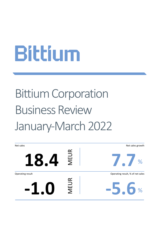# Bittium Corporation Business Review January-March 2022

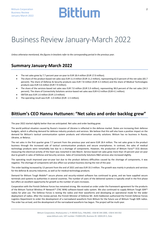### Business Review January-March 2022

*Unless otherwise mentioned, the figures in brackets refer to the corresponding period in the previous year.*

#### **Summary January-March 2022**

- The net sales grew by 7.7 percent year-on-year to EUR 18.4 million (EUR 17.0 million).
- The share of the product-based net sales was EUR 11.4 million (EUR 11.2 million), representing 62.0 percent of the net sales (65.7 percent). The share of Defense & Security products was EUR 7.8 million (EUR 3.3 million) and the share of Medical Technologies products was EUR 3.6 million (EUR 7.9 million).
- The share of the services-based net sales was EUR 7.0 million (EUR 5.9 million), representing 38.0 percent of the net sales (34.3 percent). The share of Connectivity Solutions service-based net sales was EUR 4.3 million (EUR 4.1 million).
- EBITDA was EUR 1.6 million (EUR 1.0 million).
- The operating result was EUR -1.0 million (EUR -1.5 million).

#### **Bittium's CEO Hannu Huttunen: "Net sales and order backlog grew"**

The year 2022 started slightly better than we anticipated. Net sales and order backlog grew.

The world political situation caused by Russia's invasion of Ukraine is reflected in the defense market. States are increasing their defense budgets, which is affecting demand for defense industry products and services. We believe that this will also have a positive impact on the demand for Bittium's tactical communication system products and information security solutions. Bittium has no business in Russia, Ukraine, or Belarus.

The net sales in the first quarter grew 7.7 percent from the previous year and were EUR 18.4 million. The net sales grew in the product business through the increased sale of tactical communication products and secure smartphones. In contrast, the sales of medical technology products were remarkably low due to a shortage of components. However, the production of Bittium Faros™ ECG devices measuring the electrical activity of the heart was restarted in late March. Service-based net sales grew more than 19 percent year-on-year due to growth in sales of Defense and Security services. Sales of Connectivity Solutions R&D services also increased slightly.

The operating result improved year-on-year but due to the product delivery difficulties caused by the shortage of components, it was negative. The shortage of components will also affect our product business during the rest of the year.

The order backlog increased by 13 percent from the end of 2021 and was EUR 33.3 million. The growth was mainly in products and services for the defense & security industries, as well as for medical technology products.

Demand for Bittium Tough Mobile™ secure phones and security-related software has continued to grow, and we have supplied secure terminals and systems to authorities in several countries. The number of users of the delivered systems is typically small in the first phase but offers an excellent opportunity for growth as the number of users increases.

Cooperation with the Finnish Defense Forces has remained strong. We received an order under the framework agreement for the products of the Bittium Tactical Wireless IP Network™ (TAC WIN) software-based radio system. We also continued to supply Bittium Tough SDR™ radios for pilot use. The Defense Forces is testing the radios and their waveforms and developing an operational mode for the wider deployment of radios. After the review period, the Finnish Minister of Defense Mr. Antti Kaikkonen authorized the Finnish Defense Forces Logistics Department to order the development of a narrowband waveform from Bittium for the future use of Bittium Tough SDR radios. The order has arrived, and the development of the narrowband waveform has begun. The project will be multi-year.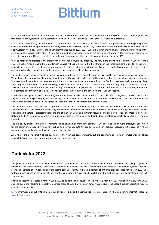In the international defense and authorities' markets, we continued to deliver tactical communications system products and integrate and test products and systems for our customers in Austria and Estonia, as well as for our other international customers.

In the medical technology market, demand for Bittium Faros™ ECG measuring devices remained at a good level. At the beginning of the year, we entered into an agreement with our long-term major customer Preventice, according to which Bittium will supply Preventice with BodyGuardian MINI devices measuring heart arrhythmias during 2022–2025. When the minimum volumes are met, the total value of the contract will be approximately USD 40-45 million. In addition, the cooperation in the development of a new ECG technology tailored for Preventice continues. This agreement replaces the previous agreement between the companies concluded in 2021.

We also made good progress in the market for medical neurophysiology products, and new pilots of Bittium BrainStatus™ EEG measuring devices began. Among others, there are Finnish university hospitals testing the BrainStatus in their intensive care units. The BrainStatus product, together with the software of our partner Cerenion, enables the artificial intelligence-assisted interpretation of brain electrical curves, which makes it significantly easier to assess the care needs of intensive care patients.

The medical device approval (Medical Device Regulation, MDR) for the Bittium Respiro™ device used to measure sleep apnea is in progress. We estimate that approval will be obtained by the end of the year after which we will be able to deliver the first devices to our customers. We have introduced this home measurement solution to customers around the world and the feedback has been really promising. Sleep apnea significantly affects the quality of sleep, which can cause serious health problems and a decline in quality of life. Many currently available solutions are either difficult to use or require testing in a hospital setting. In addition to the technical requirements, the ease of use, comfort, and efficiency of the device have been taken into account in the development of Bittium Respiro.

In February, we signed a new distributor agreement with our reseller, Technomed, a UK provider of ECG diagnostic services. We have a long history of working with them, and this new agreement covers the resale of both the Bittium Faros ECG devices and the Bittium Respiro Sleep Apnea devices. In addition, we agreed to cooperate in the development of analysis software.

The net sales of R&D services and the profitability of projects improved slightly compared to the previous year. In the Connectivity Solutions business, the market is recovering, and customer meetings have returned to normal, which will have a positive impact on the business and the start of projects towards the end of the year. Demand is currently focused on telecommunications and Open Radio Access Network (O-RAN) solutions, wireless communication satellite technology and embedded wireless connectivity solutions in various industries.

The availability of labor in the market remains challenging and labor mobility continues. Our goal is to recruit more employees specifically for the design of embedded systems for existing R&D service projects. We are developing our expertise, especially in the areas of wireless communications and embedded wireless connectivity solutions.

As a whole, the development at the beginning of the year has been promising, but the continuing shortage of components will affect product deliveries and their timing also during the end of the year.

### **Outlook for 2022**

The global disruption in the availability of electronic components and the spread of new variants of the coronavirus are having a significant impact on the global market. More than 70 percent of Bittium's net sales accumulate from products and related systems, and the prevailing shortage of components is causing significant uncertainty to the development of Bittium's product-based net sales in 2022. Due to these uncertainties, at this point of the year, the company will exceptionally publish only the first half-year outlook instead of the fullyear outlook.

Bittium expects the net sales in January-June 2022 to be at the same level as in the previous year (EUR 39.7 million in January-June 2021) and the operating result to be negative (operating loss of EUR -0.7 million in January-June 2021). The second quarter operating result is expected to be positive.

More information about Bittium's market outlook, risks, and uncertainties are presented on the company's internet pages at [www.bittium.com.](http://www.bittium.com/)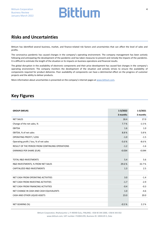### **Risks and Uncertainties**

Bittium has identified several business, market, and finance-related risk factors and uncertainties that can affect the level of sales and profits.

The coronavirus pandemic has caused changes in the company's operating environment. The company management has been actively following and anticipating the development of the pandemic and has taken measures to prevent and remedy the impacts of the pandemic. It is difficult to estimate the length of the situation or its impacts on business operations and financial results.

The global disruption in the availability of electronic components and their price development has caused fast changes in the company's operating environment. The company monitors the development of the situation and actively strives to ensure the availability of components required for product deliveries. Poor availability of components can have a detrimental effect on the progress of customer projects and the ability to deliver products.

More information about uncertainties is presented on the company's internet pages at [www.bittium.com.](http://www.bittium.com/)

### **Key Figures**

| <b>GROUP (MEUR)</b>                             | $1 - 3/2022$ | $1 - 3/2021$ |
|-------------------------------------------------|--------------|--------------|
|                                                 | 3 months     | 3 months     |
| <b>NET SALES</b>                                | 18.4         | 17.0         |
| Change of the net sales, %                      | 7.7%         | $-1.5%$      |
| <b>EBITDA</b>                                   | 1.6          | 1.0          |
| EBITDA, % of net sales                          | 8.8%         | 5.8%         |
| <b>OPERATING PROFIT / LOSS</b>                  | $-1.0$       | $-1.5$       |
| Operating profit / loss, % of net sales         | $-5.6%$      | $-8.6%$      |
| RESULT OF THE PERIOD FROM CONTINUING OPERATIONS | $-1.2$       | $-1.6$       |
| EARNINGS PER SHARE (EUR)                        | $-0.034$     | $-0.044$     |
|                                                 |              |              |
| <b>TOTAL R&amp;D INVESTMENTS</b>                | 5.4          | 5.6          |
| R&D INVESTMENTS, % FROM NET SALES               | 29.6%        | 32.7%        |
| CAPITALIZED R&D INVESTMENTS                     | 1.3          | 2.5          |
|                                                 |              |              |
| NET CASH FROM OPERATING ACTIVITIES              | 3.0          | $-1.4$       |
| NET CASH FROM INVESTING ACTIVITIES              | $-1.7$       | $-2.9$       |
| NET CASH FROM FINANCING ACTIVITIES              | $-0.4$       | $-0.3$       |
| NET CHANGE IN CASH AND CASH EQUIVALENTS         | 1.0          | $-4.6$       |
| CASH AND OTHER LIQUID ASSETS                    | 23.0         | 20.0         |
|                                                 |              |              |
| NET GEARING (%)                                 | $-0.5%$      | 2.2%         |

Bittium Corporation, Ritaharjuntie 1, FI-90590 Oulu, FINLAND, +358 40 344 2000, +358 8 343 032 www.bittium.com, VAT number: FI10041295, Business ID: 1004129-5, Oulu